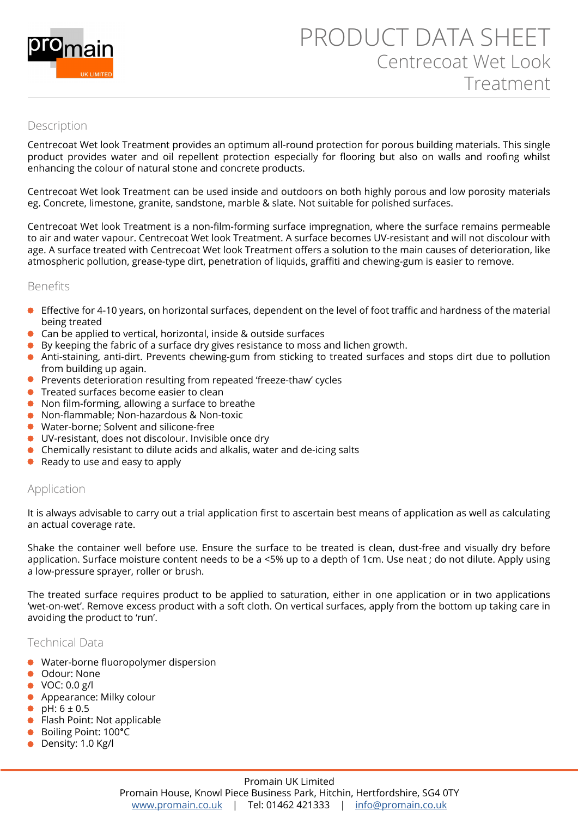

# Description

Centrecoat Wet look Treatment provides an optimum all-round protection for porous building materials. This single product provides water and oil repellent protection especially for flooring but also on walls and roofing whilst enhancing the colour of natural stone and concrete products.

Centrecoat Wet look Treatment can be used inside and outdoors on both highly porous and low porosity materials eg. Concrete, limestone, granite, sandstone, marble & slate. Not suitable for polished surfaces.

Centrecoat Wet look Treatment is a non-film-forming surface impregnation, where the surface remains permeable to air and water vapour. Centrecoat Wet look Treatment. A surface becomes UV-resistant and will not discolour with age. A surface treated with Centrecoat Wet look Treatment offers a solution to the main causes of deterioration, like atmospheric pollution, grease-type dirt, penetration of liquids, graffiti and chewing-gum is easier to remove.

# Benefits

- Effective for 4-10 years, on horizontal surfaces, dependent on the level of foot traffic and hardness of the material being treated
- Can be applied to vertical, horizontal, inside & outside surfaces
- **•** By keeping the fabric of a surface dry gives resistance to moss and lichen growth.
- Anti-staining, anti-dirt. Prevents chewing-gum from sticking to treated surfaces and stops dirt due to pollution from building up again.
- $\bullet$ Prevents deterioration resulting from repeated 'freeze-thaw' cycles
- **•** Treated surfaces become easier to clean
- Non film-forming, allowing a surface to breathe
- Non-flammable; Non-hazardous & Non-toxic
- Water-borne; Solvent and silicone-free
- UV-resistant, does not discolour. Invisible once dry
- Chemically resistant to dilute acids and alkalis, water and de-icing salts
- Ready to use and easy to apply

# Application

It is always advisable to carry out a trial application first to ascertain best means of application as well as calculating an actual coverage rate.

Shake the container well before use. Ensure the surface to be treated is clean, dust-free and visually dry before application. Surface moisture content needs to be a <5% up to a depth of 1cm. Use neat ; do not dilute. Apply using a low-pressure sprayer, roller or brush.

The treated surface requires product to be applied to saturation, either in one application or in two applications 'wet-on-wet'. Remove excess product with a soft cloth. On vertical surfaces, apply from the bottom up taking care in avoiding the product to 'run'.

## Technical Data

- Water-borne fluoropolymer dispersion
- **Odour: None**
- VOC: 0.0 g/l
- Appearance: Milky colour
- $pH: 6 \pm 0.5$
- Flash Point: Not applicable
- Boiling Point: 100°C  $\bullet$
- Density: 1.0 Kg/l